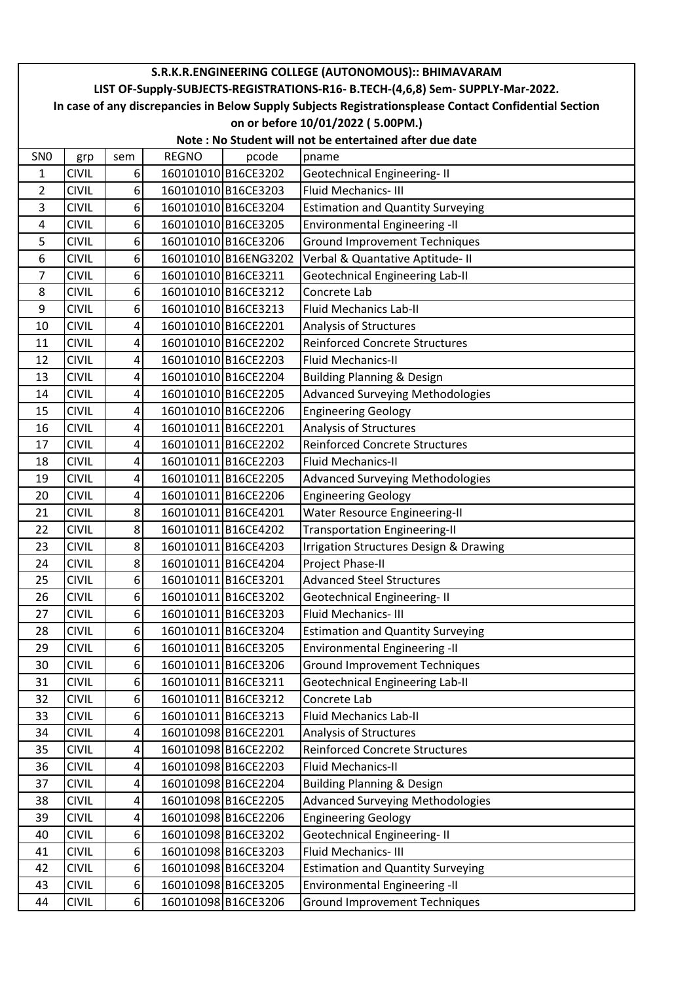|                                                                                 | S.R.K.R.ENGINEERING COLLEGE (AUTONOMOUS):: BHIMAVARAM                                                  |                  |              |                      |                                                   |  |  |
|---------------------------------------------------------------------------------|--------------------------------------------------------------------------------------------------------|------------------|--------------|----------------------|---------------------------------------------------|--|--|
| LIST OF-Supply-SUBJECTS-REGISTRATIONS-R16- B.TECH-(4,6,8) Sem- SUPPLY-Mar-2022. |                                                                                                        |                  |              |                      |                                                   |  |  |
|                                                                                 | In case of any discrepancies in Below Supply Subjects Registrationsplease Contact Confidential Section |                  |              |                      |                                                   |  |  |
| on or before 10/01/2022 (5.00PM.)                                               |                                                                                                        |                  |              |                      |                                                   |  |  |
| Note: No Student will not be entertained after due date                         |                                                                                                        |                  |              |                      |                                                   |  |  |
| SN <sub>0</sub>                                                                 | grp                                                                                                    | sem              | <b>REGNO</b> | pcode                | pname                                             |  |  |
| 1                                                                               | <b>CIVIL</b>                                                                                           | $6 \mid$         |              | 160101010 B16CE3202  | Geotechnical Engineering-II                       |  |  |
| $\overline{2}$                                                                  | <b>CIVIL</b>                                                                                           | 6 <sup>1</sup>   |              | 160101010 B16CE3203  | Fluid Mechanics-III                               |  |  |
| 3                                                                               | <b>CIVIL</b>                                                                                           | 6 <sup>1</sup>   |              | 160101010 B16CE3204  | <b>Estimation and Quantity Surveying</b>          |  |  |
| 4                                                                               | <b>CIVIL</b>                                                                                           | 6                |              | 160101010 B16CE3205  | <b>Environmental Engineering -II</b>              |  |  |
| 5                                                                               | <b>CIVIL</b>                                                                                           | 6 <sup>1</sup>   |              | 160101010 B16CE3206  | <b>Ground Improvement Techniques</b>              |  |  |
| 6                                                                               | <b>CIVIL</b>                                                                                           | 6 <sup>1</sup>   |              | 160101010 B16ENG3202 | Verbal & Quantative Aptitude- II                  |  |  |
| 7                                                                               | <b>CIVIL</b>                                                                                           | 6 <sup>1</sup>   |              | 160101010 B16CE3211  | <b>Geotechnical Engineering Lab-II</b>            |  |  |
| 8                                                                               | <b>CIVIL</b>                                                                                           | 6 <sup>1</sup>   |              | 160101010 B16CE3212  | Concrete Lab                                      |  |  |
| 9                                                                               | <b>CIVIL</b>                                                                                           | $6 \overline{6}$ |              | 160101010 B16CE3213  | <b>Fluid Mechanics Lab-II</b>                     |  |  |
| 10                                                                              | <b>CIVIL</b>                                                                                           | 4                |              | 160101010 B16CE2201  | Analysis of Structures                            |  |  |
| 11                                                                              | <b>CIVIL</b>                                                                                           | 4                |              | 160101010 B16CE2202  | <b>Reinforced Concrete Structures</b>             |  |  |
| 12                                                                              | <b>CIVIL</b>                                                                                           | 4                |              | 160101010 B16CE2203  | <b>Fluid Mechanics-II</b>                         |  |  |
| 13                                                                              | <b>CIVIL</b>                                                                                           | 4                |              | 160101010 B16CE2204  | <b>Building Planning &amp; Design</b>             |  |  |
| 14                                                                              | <b>CIVIL</b>                                                                                           | 4                |              | 160101010 B16CE2205  | <b>Advanced Surveying Methodologies</b>           |  |  |
| 15                                                                              | <b>CIVIL</b>                                                                                           | 4                |              | 160101010 B16CE2206  | <b>Engineering Geology</b>                        |  |  |
| 16                                                                              | <b>CIVIL</b>                                                                                           | 4                |              | 160101011 B16CE2201  | Analysis of Structures                            |  |  |
| 17                                                                              | <b>CIVIL</b>                                                                                           | 4                |              | 160101011 B16CE2202  | <b>Reinforced Concrete Structures</b>             |  |  |
| 18                                                                              | <b>CIVIL</b>                                                                                           | 4                |              | 160101011B16CE2203   | <b>Fluid Mechanics-II</b>                         |  |  |
| 19                                                                              | <b>CIVIL</b>                                                                                           | $\vert 4 \vert$  |              | 160101011 B16CE2205  | Advanced Surveying Methodologies                  |  |  |
| 20                                                                              | <b>CIVIL</b>                                                                                           | $\vert 4 \vert$  |              | 160101011 B16CE2206  | <b>Engineering Geology</b>                        |  |  |
| 21                                                                              | <b>CIVIL</b>                                                                                           | 8                |              | 160101011 B16CE4201  | <b>Water Resource Engineering-II</b>              |  |  |
| 22                                                                              | <b>CIVIL</b>                                                                                           | 8 <sup>1</sup>   |              | 160101011 B16CE4202  | <b>Transportation Engineering-II</b>              |  |  |
| 23                                                                              | <b>CIVIL</b>                                                                                           | 8 <sup>1</sup>   |              | 160101011 B16CE4203  | <b>Irrigation Structures Design &amp; Drawing</b> |  |  |
| 24                                                                              | <b>CIVIL</b>                                                                                           | 8 <sup>1</sup>   |              | 160101011 B16CE4204  | Project Phase-II                                  |  |  |
| 25                                                                              | <b>CIVIL</b>                                                                                           | 6 <sup>1</sup>   |              | 160101011 B16CE3201  | <b>Advanced Steel Structures</b>                  |  |  |
| 26                                                                              | <b>CIVIL</b>                                                                                           | 6 <sup>1</sup>   |              | 160101011 B16CE3202  | <b>Geotechnical Engineering-II</b>                |  |  |
| 27                                                                              | <b>CIVIL</b>                                                                                           | $6 \mid$         |              | 160101011 B16CE3203  | Fluid Mechanics-III                               |  |  |
| 28                                                                              | <b>CIVIL</b>                                                                                           | $6 \mid$         |              | 160101011 B16CE3204  | <b>Estimation and Quantity Surveying</b>          |  |  |
| 29                                                                              | <b>CIVIL</b>                                                                                           | $6 \mid$         |              | 160101011 B16CE3205  | <b>Environmental Engineering -II</b>              |  |  |
| 30                                                                              | <b>CIVIL</b>                                                                                           | 6                |              | 160101011 B16CE3206  | <b>Ground Improvement Techniques</b>              |  |  |
| 31                                                                              | <b>CIVIL</b>                                                                                           | $6 \mid$         |              | 160101011 B16CE3211  | <b>Geotechnical Engineering Lab-II</b>            |  |  |
| 32                                                                              | <b>CIVIL</b>                                                                                           | $6 \mid$         |              | 160101011 B16CE3212  | Concrete Lab                                      |  |  |
| 33                                                                              | <b>CIVIL</b>                                                                                           | $6 \mid$         |              | 160101011 B16CE3213  | Fluid Mechanics Lab-II                            |  |  |
| 34                                                                              | <b>CIVIL</b>                                                                                           | $\vert 4 \vert$  |              | 160101098 B16CE2201  | Analysis of Structures                            |  |  |
| 35                                                                              | <b>CIVIL</b>                                                                                           | 4                |              | 160101098 B16CE2202  | <b>Reinforced Concrete Structures</b>             |  |  |
| 36                                                                              | <b>CIVIL</b>                                                                                           | 4                |              | 160101098 B16CE2203  | Fluid Mechanics-II                                |  |  |
| 37                                                                              | <b>CIVIL</b>                                                                                           | $\vert 4 \vert$  |              | 160101098 B16CE2204  | <b>Building Planning &amp; Design</b>             |  |  |
| 38                                                                              | <b>CIVIL</b>                                                                                           | $\vert 4 \vert$  |              | 160101098B16CE2205   | <b>Advanced Surveying Methodologies</b>           |  |  |
| 39                                                                              | <b>CIVIL</b>                                                                                           | $\vert 4 \vert$  |              | 160101098 B16CE2206  | <b>Engineering Geology</b>                        |  |  |
| 40                                                                              | <b>CIVIL</b>                                                                                           | 6 <sup>1</sup>   |              | 160101098 B16CE3202  | <b>Geotechnical Engineering-II</b>                |  |  |
| 41                                                                              | <b>CIVIL</b>                                                                                           | $6 \mid$         |              | 160101098 B16CE3203  | Fluid Mechanics-III                               |  |  |
| 42                                                                              | <b>CIVIL</b>                                                                                           | $6 \mid$         |              | 160101098 B16CE3204  | <b>Estimation and Quantity Surveying</b>          |  |  |
| 43                                                                              | <b>CIVIL</b>                                                                                           | $6 \mid$         |              | 160101098 B16CE3205  | <b>Environmental Engineering -II</b>              |  |  |
| 44                                                                              | <b>CIVIL</b>                                                                                           | $6 \mid$         |              | 160101098 B16CE3206  | <b>Ground Improvement Techniques</b>              |  |  |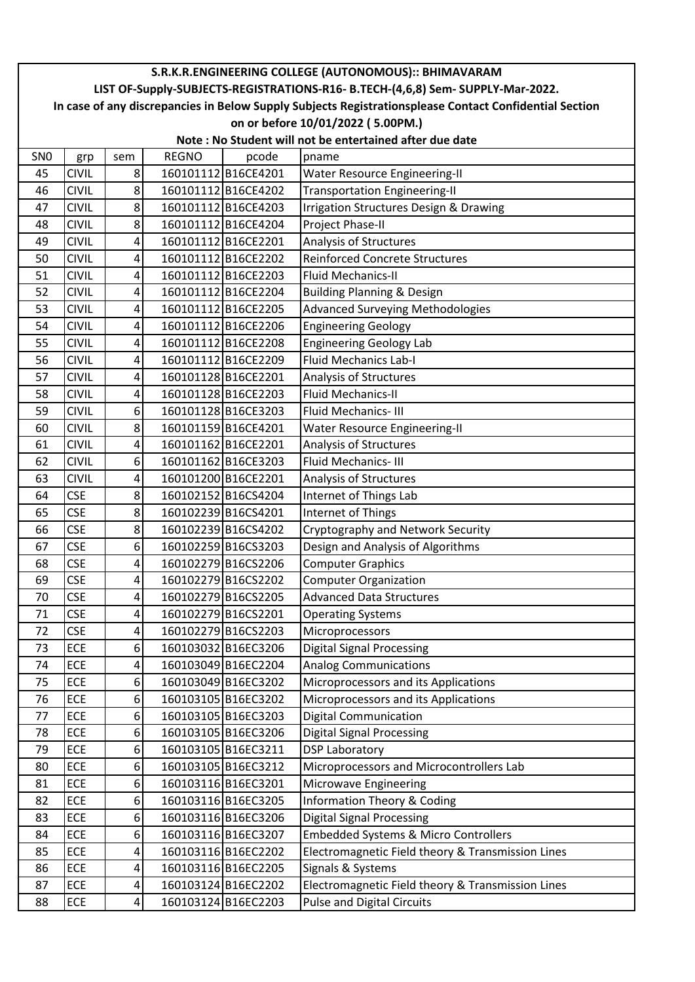| S.R.K.R.ENGINEERING COLLEGE (AUTONOMOUS):: BHIMAVARAM                                                  |                                                         |                         |              |                     |                                                   |  |  |  |
|--------------------------------------------------------------------------------------------------------|---------------------------------------------------------|-------------------------|--------------|---------------------|---------------------------------------------------|--|--|--|
| LIST OF-Supply-SUBJECTS-REGISTRATIONS-R16- B.TECH-(4,6,8) Sem- SUPPLY-Mar-2022.                        |                                                         |                         |              |                     |                                                   |  |  |  |
| In case of any discrepancies in Below Supply Subjects Registrationsplease Contact Confidential Section |                                                         |                         |              |                     |                                                   |  |  |  |
|                                                                                                        | on or before 10/01/2022 (5.00PM.)                       |                         |              |                     |                                                   |  |  |  |
|                                                                                                        | Note: No Student will not be entertained after due date |                         |              |                     |                                                   |  |  |  |
| SN <sub>0</sub>                                                                                        | grp                                                     | sem                     | <b>REGNO</b> | pcode               | pname                                             |  |  |  |
| 45                                                                                                     | <b>CIVIL</b>                                            | 8                       |              | 160101112B16CE4201  | Water Resource Engineering-II                     |  |  |  |
| 46                                                                                                     | <b>CIVIL</b>                                            | 8                       |              | 160101112B16CE4202  | <b>Transportation Engineering-II</b>              |  |  |  |
| 47                                                                                                     | <b>CIVIL</b>                                            | 8                       |              | 160101112B16CE4203  | <b>Irrigation Structures Design &amp; Drawing</b> |  |  |  |
| 48                                                                                                     | <b>CIVIL</b>                                            | 8                       |              | 160101112 B16CE4204 | Project Phase-II                                  |  |  |  |
| 49                                                                                                     | <b>CIVIL</b>                                            | 4                       |              | 160101112B16CE2201  | Analysis of Structures                            |  |  |  |
| 50                                                                                                     | <b>CIVIL</b>                                            | 4                       |              | 160101112B16CE2202  | <b>Reinforced Concrete Structures</b>             |  |  |  |
| 51                                                                                                     | <b>CIVIL</b>                                            | 4                       |              | 160101112B16CE2203  | <b>Fluid Mechanics-II</b>                         |  |  |  |
| 52                                                                                                     | <b>CIVIL</b>                                            | 4                       |              | 160101112B16CE2204  | <b>Building Planning &amp; Design</b>             |  |  |  |
| 53                                                                                                     | <b>CIVIL</b>                                            | 4                       |              | 160101112B16CE2205  | <b>Advanced Surveying Methodologies</b>           |  |  |  |
| 54                                                                                                     | <b>CIVIL</b>                                            | 4                       |              | 160101112B16CE2206  | <b>Engineering Geology</b>                        |  |  |  |
| 55                                                                                                     | <b>CIVIL</b>                                            | 4                       |              | 160101112B16CE2208  | <b>Engineering Geology Lab</b>                    |  |  |  |
| 56                                                                                                     | <b>CIVIL</b>                                            | 4                       |              | 160101112B16CE2209  | <b>Fluid Mechanics Lab-I</b>                      |  |  |  |
| 57                                                                                                     | <b>CIVIL</b>                                            | 4                       |              | 160101128 B16CE2201 | Analysis of Structures                            |  |  |  |
| 58                                                                                                     | <b>CIVIL</b>                                            | 4                       |              | 160101128B16CE2203  | <b>Fluid Mechanics-II</b>                         |  |  |  |
| 59                                                                                                     | <b>CIVIL</b>                                            | 6                       |              | 160101128B16CE3203  | Fluid Mechanics-III                               |  |  |  |
| 60                                                                                                     | <b>CIVIL</b>                                            | 8                       |              | 160101159 B16CE4201 | <b>Water Resource Engineering-II</b>              |  |  |  |
| 61                                                                                                     | <b>CIVIL</b>                                            | 4                       |              | 160101162 B16CE2201 | Analysis of Structures                            |  |  |  |
| 62                                                                                                     | <b>CIVIL</b>                                            | 6                       |              | 160101162 B16CE3203 | Fluid Mechanics-III                               |  |  |  |
| 63                                                                                                     | <b>CIVIL</b>                                            | 4                       |              | 160101200 B16CE2201 | Analysis of Structures                            |  |  |  |
| 64                                                                                                     | <b>CSE</b>                                              | 8                       |              | 160102152 B16CS4204 | Internet of Things Lab                            |  |  |  |
| 65                                                                                                     | <b>CSE</b>                                              | 8                       |              | 160102239 B16CS4201 | Internet of Things                                |  |  |  |
| 66                                                                                                     | <b>CSE</b>                                              | 8                       |              | 160102239 B16CS4202 | Cryptography and Network Security                 |  |  |  |
| 67                                                                                                     | <b>CSE</b>                                              | 6                       |              | 160102259 B16CS3203 | Design and Analysis of Algorithms                 |  |  |  |
| 68                                                                                                     | <b>CSE</b>                                              | 4                       |              | 160102279B16CS2206  | <b>Computer Graphics</b>                          |  |  |  |
| 69                                                                                                     | <b>CSE</b>                                              | $\vert 4 \vert$         |              | 160102279B16CS2202  | <b>Computer Organization</b>                      |  |  |  |
| 70                                                                                                     | <b>CSE</b>                                              | 4                       |              | 160102279 B16CS2205 | <b>Advanced Data Structures</b>                   |  |  |  |
| 71                                                                                                     | <b>CSE</b>                                              | 4                       |              | 160102279 B16CS2201 | <b>Operating Systems</b>                          |  |  |  |
| 72                                                                                                     | <b>CSE</b>                                              | 4                       |              | 160102279 B16CS2203 | Microprocessors                                   |  |  |  |
| 73                                                                                                     | ECE                                                     | 6                       |              | 160103032 B16EC3206 | <b>Digital Signal Processing</b>                  |  |  |  |
| 74                                                                                                     | ECE                                                     | 4                       |              | 160103049 B16EC2204 | <b>Analog Communications</b>                      |  |  |  |
| 75                                                                                                     | ECE                                                     | 6                       |              | 160103049 B16EC3202 | Microprocessors and its Applications              |  |  |  |
| 76                                                                                                     | ECE                                                     | 6                       |              | 160103105 B16EC3202 | Microprocessors and its Applications              |  |  |  |
| 77                                                                                                     | ECE                                                     | 6                       |              | 160103105 B16EC3203 | <b>Digital Communication</b>                      |  |  |  |
| 78                                                                                                     | ECE                                                     | 6 <sup>1</sup>          |              | 160103105 B16EC3206 | <b>Digital Signal Processing</b>                  |  |  |  |
| 79                                                                                                     | ECE                                                     | 6                       |              | 160103105 B16EC3211 | <b>DSP Laboratory</b>                             |  |  |  |
| 80                                                                                                     | ECE                                                     | 6                       |              | 160103105 B16EC3212 | Microprocessors and Microcontrollers Lab          |  |  |  |
| 81                                                                                                     | ECE                                                     | 6                       |              | 160103116B16EC3201  | <b>Microwave Engineering</b>                      |  |  |  |
| 82                                                                                                     | ECE                                                     | 6                       |              | 160103116B16EC3205  | <b>Information Theory &amp; Coding</b>            |  |  |  |
| 83                                                                                                     | ECE                                                     | $6 \mid$                |              | 160103116B16EC3206  | <b>Digital Signal Processing</b>                  |  |  |  |
| 84                                                                                                     | ECE                                                     | 6                       |              | 160103116B16EC3207  | Embedded Systems & Micro Controllers              |  |  |  |
| 85                                                                                                     | ECE                                                     | $\overline{\mathbf{r}}$ |              | 160103116B16EC2202  | Electromagnetic Field theory & Transmission Lines |  |  |  |
| 86                                                                                                     | ECE                                                     | 4                       |              | 160103116B16EC2205  | Signals & Systems                                 |  |  |  |
| 87                                                                                                     | ECE                                                     | 4                       |              | 160103124 B16EC2202 | Electromagnetic Field theory & Transmission Lines |  |  |  |
| 88                                                                                                     | ECE                                                     | $\overline{\mathbf{r}}$ |              | 160103124 B16EC2203 | <b>Pulse and Digital Circuits</b>                 |  |  |  |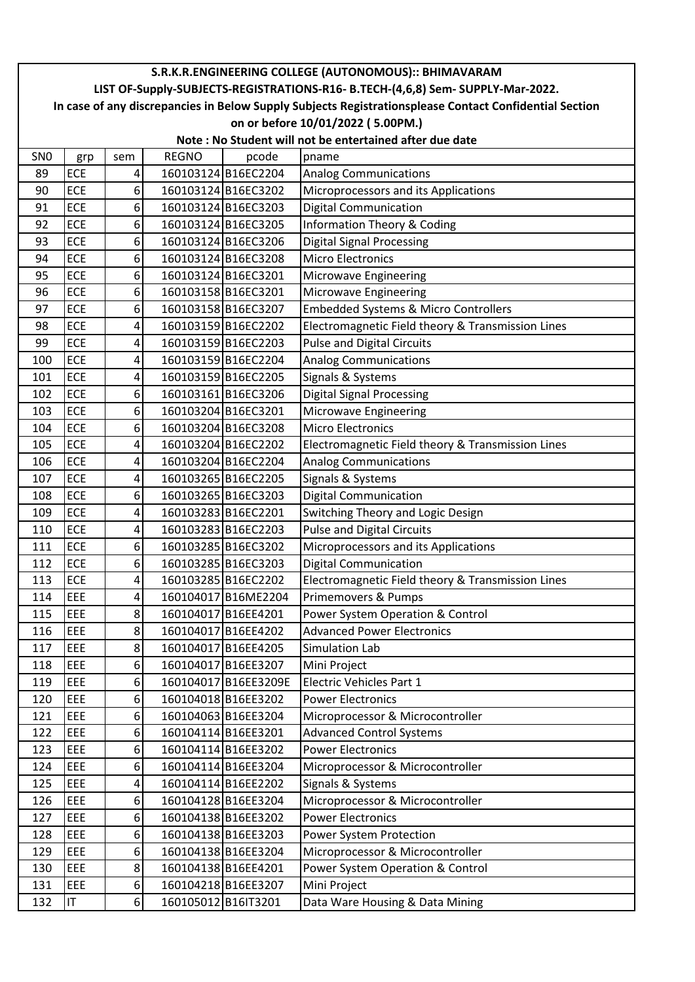| S.R.K.R.ENGINEERING COLLEGE (AUTONOMOUS):: BHIMAVARAM                                                  |            |                  |                     |                      |                                                   |  |  |
|--------------------------------------------------------------------------------------------------------|------------|------------------|---------------------|----------------------|---------------------------------------------------|--|--|
| LIST OF-Supply-SUBJECTS-REGISTRATIONS-R16- B.TECH-(4,6,8) Sem- SUPPLY-Mar-2022.                        |            |                  |                     |                      |                                                   |  |  |
| In case of any discrepancies in Below Supply Subjects Registrationsplease Contact Confidential Section |            |                  |                     |                      |                                                   |  |  |
| on or before 10/01/2022 (5.00PM.)                                                                      |            |                  |                     |                      |                                                   |  |  |
| Note: No Student will not be entertained after due date                                                |            |                  |                     |                      |                                                   |  |  |
| SN <sub>0</sub>                                                                                        | grp        | sem              | <b>REGNO</b>        | pcode                | pname                                             |  |  |
| 89                                                                                                     | <b>ECE</b> | 4                |                     | 160103124 B16EC2204  | <b>Analog Communications</b>                      |  |  |
| 90                                                                                                     | ECE        | 6 <sup>1</sup>   |                     | 160103124 B16EC3202  | Microprocessors and its Applications              |  |  |
| 91                                                                                                     | <b>ECE</b> | 6 <sup>1</sup>   |                     | 160103124 B16EC3203  | <b>Digital Communication</b>                      |  |  |
| 92                                                                                                     | ECE        | 6                |                     | 160103124 B16EC3205  | <b>Information Theory &amp; Coding</b>            |  |  |
| 93                                                                                                     | <b>ECE</b> | 6 <sup>1</sup>   |                     | 160103124 B16EC3206  | <b>Digital Signal Processing</b>                  |  |  |
| 94                                                                                                     | <b>ECE</b> | 6 <sup>1</sup>   |                     | 160103124 B16EC3208  | <b>Micro Electronics</b>                          |  |  |
| 95                                                                                                     | ECE        | 6 <sup>1</sup>   |                     | 160103124 B16EC3201  | <b>Microwave Engineering</b>                      |  |  |
| 96                                                                                                     | <b>ECE</b> | 6 <sup>1</sup>   |                     | 160103158B16EC3201   | Microwave Engineering                             |  |  |
| 97                                                                                                     | <b>ECE</b> | 6 <sup>1</sup>   |                     | 160103158 B16EC3207  | Embedded Systems & Micro Controllers              |  |  |
| 98                                                                                                     | <b>ECE</b> | 4                |                     | 160103159 B16EC2202  | Electromagnetic Field theory & Transmission Lines |  |  |
| 99                                                                                                     | ECE        | 4                |                     | 160103159B16EC2203   | <b>Pulse and Digital Circuits</b>                 |  |  |
| 100                                                                                                    | <b>ECE</b> | 4                |                     | 160103159 B16EC2204  | <b>Analog Communications</b>                      |  |  |
| 101                                                                                                    | <b>ECE</b> | 4                |                     | 160103159 B16EC2205  | Signals & Systems                                 |  |  |
| 102                                                                                                    | <b>ECE</b> | 6 <sup>1</sup>   |                     | 160103161 B16EC3206  | <b>Digital Signal Processing</b>                  |  |  |
| 103                                                                                                    | <b>ECE</b> | 6 <sup>1</sup>   |                     | 160103204 B16EC3201  | <b>Microwave Engineering</b>                      |  |  |
| 104                                                                                                    | <b>ECE</b> | $6 \mid$         |                     | 160103204 B16EC3208  | <b>Micro Electronics</b>                          |  |  |
| 105                                                                                                    | <b>ECE</b> | 4                |                     | 160103204 B16EC2202  | Electromagnetic Field theory & Transmission Lines |  |  |
| 106                                                                                                    | ECE        | 4                |                     | 160103204 B16EC2204  | <b>Analog Communications</b>                      |  |  |
| 107                                                                                                    | ECE        | $\vert 4 \vert$  |                     | 160103265 B16EC2205  | Signals & Systems                                 |  |  |
| 108                                                                                                    | <b>ECE</b> | 6 <sup>1</sup>   |                     | 160103265 B16EC3203  | <b>Digital Communication</b>                      |  |  |
| 109                                                                                                    | <b>ECE</b> | 4                |                     | 160103283 B16EC2201  | Switching Theory and Logic Design                 |  |  |
| 110                                                                                                    | <b>ECE</b> | 4                |                     | 160103283 B16EC2203  | <b>Pulse and Digital Circuits</b>                 |  |  |
| 111                                                                                                    | <b>ECE</b> | $6 \overline{6}$ |                     | 160103285 B16EC3202  | Microprocessors and its Applications              |  |  |
| 112                                                                                                    | <b>ECE</b> | $6 \mid$         |                     | 160103285 B16EC3203  | <b>Digital Communication</b>                      |  |  |
| 113                                                                                                    | <b>ECE</b> | $\vert 4 \vert$  |                     | 160103285 B16EC2202  | Electromagnetic Field theory & Transmission Lines |  |  |
| 114                                                                                                    | EEE        | $\vert 4 \vert$  |                     | 160104017 B16ME2204  | Primemovers & Pumps                               |  |  |
| 115                                                                                                    | EEE        | 8 <sup>1</sup>   |                     | 160104017 B16EE4201  | Power System Operation & Control                  |  |  |
| 116                                                                                                    | <b>EEE</b> | 8 <sup>1</sup>   |                     | 160104017 B16EE4202  | <b>Advanced Power Electronics</b>                 |  |  |
| 117                                                                                                    | EEE        | 8 <sup>1</sup>   |                     | 160104017 B16EE4205  | Simulation Lab                                    |  |  |
| 118                                                                                                    | EEE        | $6 \mid$         |                     | 160104017 B16EE3207  | Mini Project                                      |  |  |
| 119                                                                                                    | EEE        | 6 <sup>1</sup>   |                     | 160104017 B16EE3209E | Electric Vehicles Part 1                          |  |  |
| 120                                                                                                    | EEE        | $6 \mid$         |                     | 160104018B16EE3202   | <b>Power Electronics</b>                          |  |  |
| 121                                                                                                    | EEE        | 6 <sup>1</sup>   |                     | 160104063 B16EE3204  | Microprocessor & Microcontroller                  |  |  |
| 122                                                                                                    | <b>EEE</b> | 6 <sup>1</sup>   |                     | 160104114B16EE3201   | <b>Advanced Control Systems</b>                   |  |  |
| 123                                                                                                    | EEE        | $6 \mid$         |                     | 160104114 B16EE3202  | <b>Power Electronics</b>                          |  |  |
| 124                                                                                                    | <b>EEE</b> | $6 \mid$         |                     | 160104114 B16EE3204  | Microprocessor & Microcontroller                  |  |  |
| 125                                                                                                    | EEE        | $\boldsymbol{4}$ |                     | 160104114 B16EE2202  | Signals & Systems                                 |  |  |
| 126                                                                                                    | EEE        | 6 <sup>1</sup>   |                     | 160104128 B16EE3204  | Microprocessor & Microcontroller                  |  |  |
| 127                                                                                                    | EEE        | 6 <sup>1</sup>   |                     | 160104138 B16EE3202  | <b>Power Electronics</b>                          |  |  |
| 128                                                                                                    | EEE        | 6 <sup>1</sup>   |                     | 160104138 B16EE3203  | Power System Protection                           |  |  |
| 129                                                                                                    | <b>EEE</b> | 6 <sup>1</sup>   |                     | 160104138 B16EE3204  | Microprocessor & Microcontroller                  |  |  |
| 130                                                                                                    | EEE        | 8 <sup>1</sup>   |                     | 160104138 B16EE4201  | Power System Operation & Control                  |  |  |
| 131                                                                                                    | EEE        | $6\vert$         |                     | 160104218B16EE3207   | Mini Project                                      |  |  |
| 132                                                                                                    | IT.        | 6 <sup>1</sup>   | 160105012 B16IT3201 |                      | Data Ware Housing & Data Mining                   |  |  |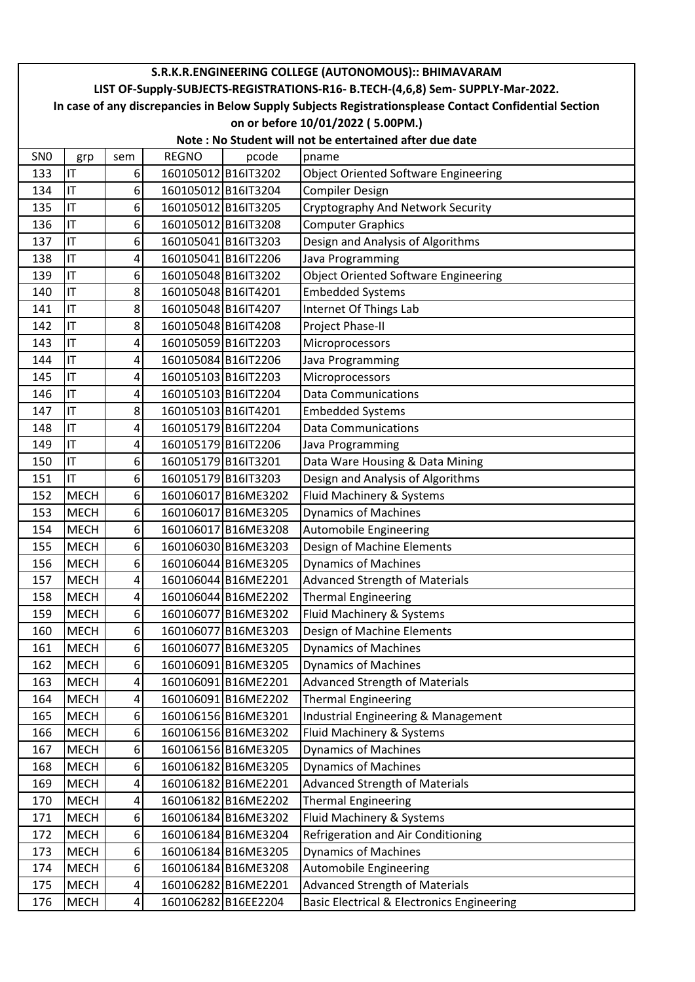| S.R.K.R.ENGINEERING COLLEGE (AUTONOMOUS):: BHIMAVARAM                                                  |             |                  |                     |                     |                                                       |  |  |
|--------------------------------------------------------------------------------------------------------|-------------|------------------|---------------------|---------------------|-------------------------------------------------------|--|--|
| LIST OF-Supply-SUBJECTS-REGISTRATIONS-R16- B.TECH-(4,6,8) Sem- SUPPLY-Mar-2022.                        |             |                  |                     |                     |                                                       |  |  |
| In case of any discrepancies in Below Supply Subjects Registrationsplease Contact Confidential Section |             |                  |                     |                     |                                                       |  |  |
| on or before 10/01/2022 (5.00PM.)                                                                      |             |                  |                     |                     |                                                       |  |  |
| Note : No Student will not be entertained after due date                                               |             |                  |                     |                     |                                                       |  |  |
| <b>SNO</b>                                                                                             | grp         | sem              | <b>REGNO</b>        | pcode               | pname                                                 |  |  |
| 133                                                                                                    | IT          | $6 \overline{6}$ |                     | 160105012 B16IT3202 | <b>Object Oriented Software Engineering</b>           |  |  |
| 134                                                                                                    | İП          | 6 <sup>1</sup>   |                     | 160105012 B16IT3204 | <b>Compiler Design</b>                                |  |  |
| 135                                                                                                    | IT          | 6 <sup>1</sup>   | 160105012 B16IT3205 |                     | Cryptography And Network Security                     |  |  |
| 136                                                                                                    | IT          | 6 <sup>1</sup>   |                     | 160105012 B16IT3208 | <b>Computer Graphics</b>                              |  |  |
| 137                                                                                                    | IT          | 6 <sup>1</sup>   | 160105041 B16IT3203 |                     | Design and Analysis of Algorithms                     |  |  |
| 138                                                                                                    | IT          | $\vert 4 \vert$  |                     | 160105041 B16IT2206 | Java Programming                                      |  |  |
| 139                                                                                                    | IT          | 6 <sup>1</sup>   | 160105048 B16IT3202 |                     | <b>Object Oriented Software Engineering</b>           |  |  |
| 140                                                                                                    | IT          | 8 <sup>1</sup>   | 160105048 B16IT4201 |                     | <b>Embedded Systems</b>                               |  |  |
| 141                                                                                                    | IT          | 8 <sup>1</sup>   |                     | 160105048 B16IT4207 | Internet Of Things Lab                                |  |  |
| 142                                                                                                    | IT          | 8 <sup>1</sup>   | 160105048 B16IT4208 |                     | Project Phase-II                                      |  |  |
| 143                                                                                                    | IT          | $\vert 4 \vert$  |                     | 160105059 B16IT2203 | Microprocessors                                       |  |  |
| 144                                                                                                    | IT          | $\vert 4 \vert$  |                     | 160105084 B16IT2206 | Java Programming                                      |  |  |
| 145                                                                                                    | IT          | $\vert 4 \vert$  | 160105103 B16IT2203 |                     | Microprocessors                                       |  |  |
| 146                                                                                                    | İП          | $\vert 4 \vert$  |                     | 160105103 B16IT2204 | <b>Data Communications</b>                            |  |  |
| 147                                                                                                    | IT          | 8 <sup>1</sup>   | 160105103 B16IT4201 |                     | <b>Embedded Systems</b>                               |  |  |
| 148                                                                                                    | IT          | $\vert 4 \vert$  |                     | 160105179 B16IT2204 | <b>Data Communications</b>                            |  |  |
| 149                                                                                                    | IT          | $\vert 4 \vert$  |                     | 160105179 B16IT2206 | Java Programming                                      |  |  |
| 150                                                                                                    | IT          | 6 <sup>1</sup>   |                     | 160105179 B16IT3201 | Data Ware Housing & Data Mining                       |  |  |
| 151                                                                                                    | IT          | 6 <sup>1</sup>   | 160105179 B16IT3203 |                     | Design and Analysis of Algorithms                     |  |  |
| 152                                                                                                    | <b>MECH</b> | 6 <sup>1</sup>   |                     | 160106017 B16ME3202 | Fluid Machinery & Systems                             |  |  |
| 153                                                                                                    | <b>MECH</b> | 6 <sup>1</sup>   |                     | 160106017 B16ME3205 | <b>Dynamics of Machines</b>                           |  |  |
| 154                                                                                                    | <b>MECH</b> | 6 <sup>1</sup>   |                     | 160106017 B16ME3208 | Automobile Engineering                                |  |  |
| 155                                                                                                    | <b>MECH</b> | 6 <sup>1</sup>   |                     | 160106030 B16ME3203 | Design of Machine Elements                            |  |  |
| 156                                                                                                    | <b>MECH</b> | 6 <sup>1</sup>   |                     | 160106044 B16ME3205 | <b>Dynamics of Machines</b>                           |  |  |
| 157                                                                                                    | <b>MECH</b> | $\vert 4 \vert$  |                     | 160106044 B16ME2201 | <b>Advanced Strength of Materials</b>                 |  |  |
| 158                                                                                                    | <b>MECH</b> | $\vert 4 \vert$  |                     | 160106044 B16ME2202 | <b>Thermal Engineering</b>                            |  |  |
| 159                                                                                                    | <b>MECH</b> | $6 \mid$         |                     | 160106077 B16ME3202 | Fluid Machinery & Systems                             |  |  |
| 160                                                                                                    | <b>MECH</b> | 6 <sup>1</sup>   |                     | 160106077 B16ME3203 | Design of Machine Elements                            |  |  |
| 161                                                                                                    | <b>MECH</b> | 6 <sup>1</sup>   |                     | 160106077 B16ME3205 | <b>Dynamics of Machines</b>                           |  |  |
| 162                                                                                                    | <b>MECH</b> | 6 <sup>1</sup>   |                     | 160106091 B16ME3205 | <b>Dynamics of Machines</b>                           |  |  |
| 163                                                                                                    | <b>MECH</b> | $\vert 4 \vert$  |                     | 160106091 B16ME2201 | <b>Advanced Strength of Materials</b>                 |  |  |
| 164                                                                                                    | <b>MECH</b> | $\vert 4 \vert$  |                     | 160106091 B16ME2202 | <b>Thermal Engineering</b>                            |  |  |
| 165                                                                                                    | <b>MECH</b> | 6 <sup>1</sup>   |                     | 160106156 B16ME3201 | Industrial Engineering & Management                   |  |  |
| 166                                                                                                    | <b>MECH</b> | $6 \mid$         |                     | 160106156 B16ME3202 | Fluid Machinery & Systems                             |  |  |
| 167                                                                                                    | <b>MECH</b> | 6 <sup>1</sup>   |                     | 160106156 B16ME3205 | <b>Dynamics of Machines</b>                           |  |  |
| 168                                                                                                    | <b>MECH</b> | $6 \mid$         |                     | 160106182 B16ME3205 | <b>Dynamics of Machines</b>                           |  |  |
| 169                                                                                                    | <b>MECH</b> | $\vert 4 \vert$  |                     | 160106182 B16ME2201 | <b>Advanced Strength of Materials</b>                 |  |  |
| 170                                                                                                    | <b>MECH</b> | $\vert 4 \vert$  |                     | 160106182 B16ME2202 | <b>Thermal Engineering</b>                            |  |  |
| 171                                                                                                    | <b>MECH</b> | 6 <sup>1</sup>   |                     | 160106184 B16ME3202 | Fluid Machinery & Systems                             |  |  |
| 172                                                                                                    | <b>MECH</b> | 6 <sup>1</sup>   |                     | 160106184 B16ME3204 | Refrigeration and Air Conditioning                    |  |  |
| 173                                                                                                    | <b>MECH</b> | 6 <sup>1</sup>   |                     | 160106184 B16ME3205 | <b>Dynamics of Machines</b>                           |  |  |
| 174                                                                                                    | <b>MECH</b> | 6 <sup>1</sup>   |                     | 160106184 B16ME3208 | <b>Automobile Engineering</b>                         |  |  |
| 175                                                                                                    | <b>MECH</b> | $\vert 4 \vert$  |                     | 160106282 B16ME2201 | <b>Advanced Strength of Materials</b>                 |  |  |
| 176                                                                                                    | <b>MECH</b> | $\vert 4 \vert$  |                     | 160106282 B16EE2204 | <b>Basic Electrical &amp; Electronics Engineering</b> |  |  |